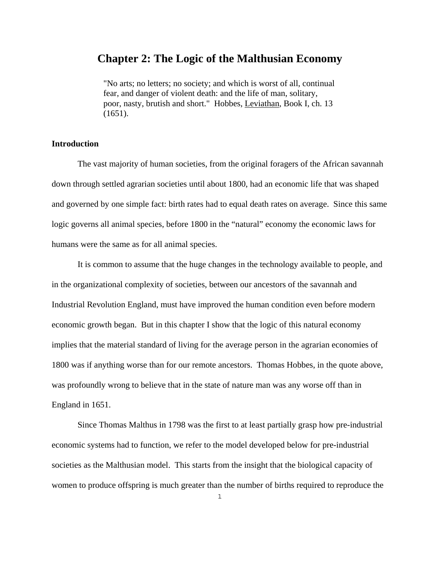# **Chapter 2: The Logic of the Malthusian Economy**

"No arts; no letters; no society; and which is worst of all, continual fear, and danger of violent death: and the life of man, solitary, poor, nasty, brutish and short." Hobbes, Leviathan, Book I, ch. 13  $(1651).$ 

## **Introduction**

 The vast majority of human societies, from the original foragers of the African savannah down through settled agrarian societies until about 1800, had an economic life that was shaped and governed by one simple fact: birth rates had to equal death rates on average. Since this same logic governs all animal species, before 1800 in the "natural" economy the economic laws for humans were the same as for all animal species.

 It is common to assume that the huge changes in the technology available to people, and in the organizational complexity of societies, between our ancestors of the savannah and Industrial Revolution England, must have improved the human condition even before modern economic growth began. But in this chapter I show that the logic of this natural economy implies that the material standard of living for the average person in the agrarian economies of 1800 was if anything worse than for our remote ancestors. Thomas Hobbes, in the quote above, was profoundly wrong to believe that in the state of nature man was any worse off than in England in 1651.

 Since Thomas Malthus in 1798 was the first to at least partially grasp how pre-industrial economic systems had to function, we refer to the model developed below for pre-industrial societies as the Malthusian model. This starts from the insight that the biological capacity of women to produce offspring is much greater than the number of births required to reproduce the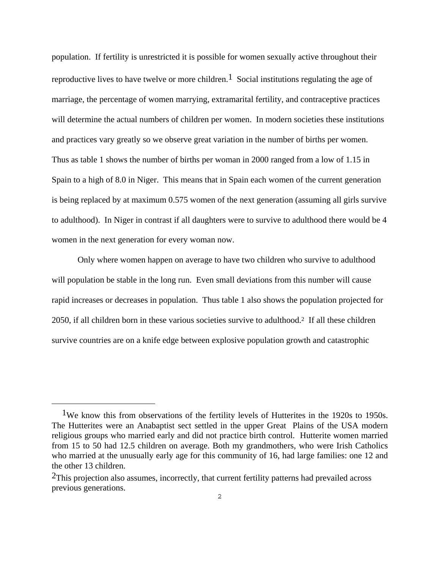population. If fertility is unrestricted it is possible for women sexually active throughout their reproductive lives to have twelve or more children.<sup>1</sup> Social institutions regulating the age of marriage, the percentage of women marrying, extramarital fertility, and contraceptive practices will determine the actual numbers of children per women. In modern societies these institutions and practices vary greatly so we observe great variation in the number of births per women. Thus as table 1 shows the number of births per woman in 2000 ranged from a low of 1.15 in Spain to a high of 8.0 in Niger. This means that in Spain each women of the current generation is being replaced by at maximum 0.575 women of the next generation (assuming all girls survive to adulthood). In Niger in contrast if all daughters were to survive to adulthood there would be 4 women in the next generation for every woman now.

 Only where women happen on average to have two children who survive to adulthood will population be stable in the long run. Even small deviations from this number will cause rapid increases or decreases in population. Thus table 1 also shows the population projected for 2050, if all children born in these various societies survive to adulthood.2 If all these children survive countries are on a knife edge between explosive population growth and catastrophic

<sup>1</sup>We know this from observations of the fertility levels of Hutterites in the 1920s to 1950s. The Hutterites were an Anabaptist sect settled in the upper Great Plains of the USA modern religious groups who married early and did not practice birth control. Hutterite women married from 15 to 50 had 12.5 children on average. Both my grandmothers, who were Irish Catholics who married at the unusually early age for this community of 16, had large families: one 12 and the other 13 children.

<sup>&</sup>lt;sup>2</sup>This projection also assumes, incorrectly, that current fertility patterns had prevailed across previous generations.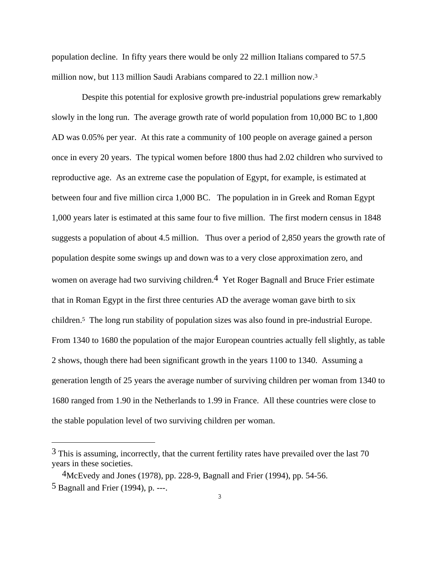population decline. In fifty years there would be only 22 million Italians compared to 57.5 million now, but 113 million Saudi Arabians compared to 22.1 million now.3

 Despite this potential for explosive growth pre-industrial populations grew remarkably slowly in the long run. The average growth rate of world population from 10,000 BC to 1,800 AD was 0.05% per year. At this rate a community of 100 people on average gained a person once in every 20 years. The typical women before 1800 thus had 2.02 children who survived to reproductive age. As an extreme case the population of Egypt, for example, is estimated at between four and five million circa 1,000 BC. The population in in Greek and Roman Egypt 1,000 years later is estimated at this same four to five million. The first modern census in 1848 suggests a population of about 4.5 million. Thus over a period of 2,850 years the growth rate of population despite some swings up and down was to a very close approximation zero, and women on average had two surviving children.<sup>4</sup> Yet Roger Bagnall and Bruce Frier estimate that in Roman Egypt in the first three centuries AD the average woman gave birth to six children.5 The long run stability of population sizes was also found in pre-industrial Europe. From 1340 to 1680 the population of the major European countries actually fell slightly, as table 2 shows, though there had been significant growth in the years 1100 to 1340. Assuming a generation length of 25 years the average number of surviving children per woman from 1340 to 1680 ranged from 1.90 in the Netherlands to 1.99 in France. All these countries were close to the stable population level of two surviving children per woman.

 $3$  This is assuming, incorrectly, that the current fertility rates have prevailed over the last 70 years in these societies.

<sup>4</sup>McEvedy and Jones (1978), pp. 228-9, Bagnall and Frier (1994), pp. 54-56. 5 Bagnall and Frier (1994), p. ---.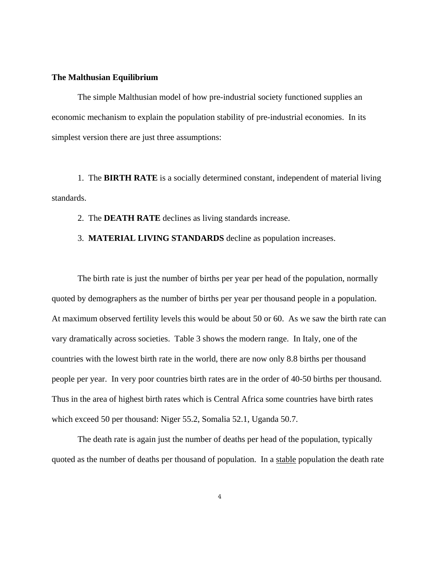#### **The Malthusian Equilibrium**

 The simple Malthusian model of how pre-industrial society functioned supplies an economic mechanism to explain the population stability of pre-industrial economies. In its simplest version there are just three assumptions:

 1. The **BIRTH RATE** is a socially determined constant, independent of material living standards.

2. The **DEATH RATE** declines as living standards increase.

3. **MATERIAL LIVING STANDARDS** decline as population increases.

 The birth rate is just the number of births per year per head of the population, normally quoted by demographers as the number of births per year per thousand people in a population. At maximum observed fertility levels this would be about 50 or 60. As we saw the birth rate can vary dramatically across societies. Table 3 shows the modern range. In Italy, one of the countries with the lowest birth rate in the world, there are now only 8.8 births per thousand people per year. In very poor countries birth rates are in the order of 40-50 births per thousand. Thus in the area of highest birth rates which is Central Africa some countries have birth rates which exceed 50 per thousand: Niger 55.2, Somalia 52.1, Uganda 50.7.

 The death rate is again just the number of deaths per head of the population, typically quoted as the number of deaths per thousand of population. In a stable population the death rate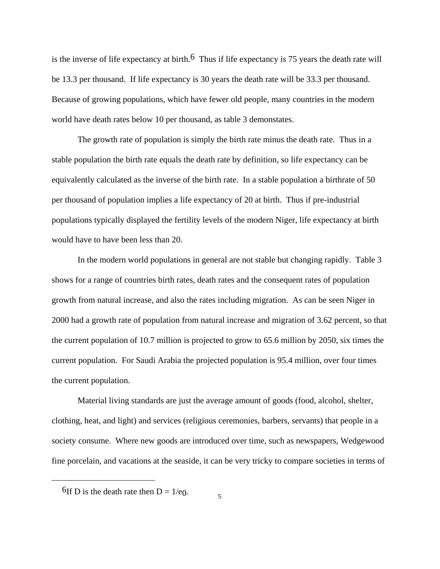is the inverse of life expectancy at birth.<sup>6</sup> Thus if life expectancy is 75 years the death rate will be 13.3 per thousand. If life expectancy is 30 years the death rate will be 33.3 per thousand. Because of growing populations, which have fewer old people, many countries in the modern world have death rates below 10 per thousand, as table 3 demonstates.

 The growth rate of population is simply the birth rate minus the death rate. Thus in a stable population the birth rate equals the death rate by definition, so life expectancy can be equivalently calculated as the inverse of the birth rate. In a stable population a birthrate of 50 per thousand of population implies a life expectancy of 20 at birth. Thus if pre-industrial populations typically displayed the fertility levels of the modern Niger, life expectancy at birth would have to have been less than 20.

 In the modern world populations in general are not stable but changing rapidly. Table 3 shows for a range of countries birth rates, death rates and the consequent rates of population growth from natural increase, and also the rates including migration. As can be seen Niger in 2000 had a growth rate of population from natural increase and migration of 3.62 percent, so that the current population of 10.7 million is projected to grow to 65.6 million by 2050, six times the current population. For Saudi Arabia the projected population is 95.4 million, over four times the current population.

 Material living standards are just the average amount of goods (food, alcohol, shelter, clothing, heat, and light) and services (religious ceremonies, barbers, servants) that people in a society consume. Where new goods are introduced over time, such as newspapers, Wedgewood fine porcelain, and vacations at the seaside, it can be very tricky to compare societies in terms of

a<br>B

<sup>&</sup>lt;sup>6</sup>If D is the death rate then  $D = 1/e$ .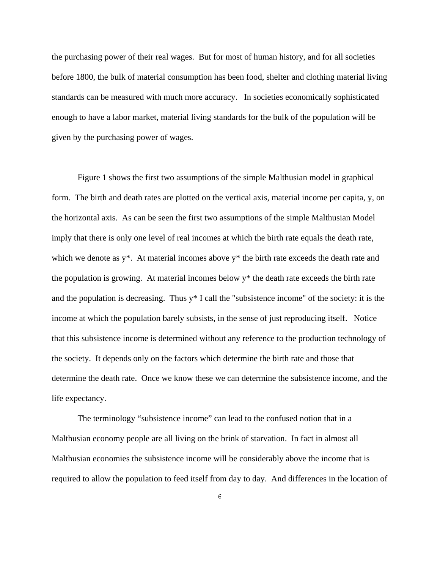the purchasing power of their real wages. But for most of human history, and for all societies before 1800, the bulk of material consumption has been food, shelter and clothing material living standards can be measured with much more accuracy. In societies economically sophisticated enough to have a labor market, material living standards for the bulk of the population will be given by the purchasing power of wages.

 Figure 1 shows the first two assumptions of the simple Malthusian model in graphical form. The birth and death rates are plotted on the vertical axis, material income per capita, y, on the horizontal axis. As can be seen the first two assumptions of the simple Malthusian Model imply that there is only one level of real incomes at which the birth rate equals the death rate, which we denote as y\*. At material incomes above y\* the birth rate exceeds the death rate and the population is growing. At material incomes below y\* the death rate exceeds the birth rate and the population is decreasing. Thus y\* I call the "subsistence income" of the society: it is the income at which the population barely subsists, in the sense of just reproducing itself. Notice that this subsistence income is determined without any reference to the production technology of the society. It depends only on the factors which determine the birth rate and those that determine the death rate. Once we know these we can determine the subsistence income, and the life expectancy.

 The terminology "subsistence income" can lead to the confused notion that in a Malthusian economy people are all living on the brink of starvation. In fact in almost all Malthusian economies the subsistence income will be considerably above the income that is required to allow the population to feed itself from day to day. And differences in the location of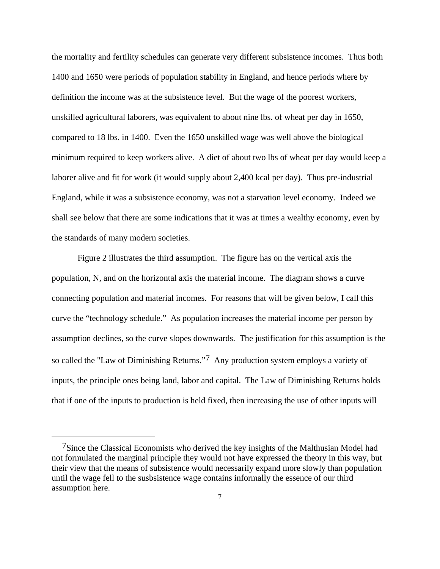the mortality and fertility schedules can generate very different subsistence incomes. Thus both 1400 and 1650 were periods of population stability in England, and hence periods where by definition the income was at the subsistence level. But the wage of the poorest workers, unskilled agricultural laborers, was equivalent to about nine lbs. of wheat per day in 1650, compared to 18 lbs. in 1400. Even the 1650 unskilled wage was well above the biological minimum required to keep workers alive. A diet of about two lbs of wheat per day would keep a laborer alive and fit for work (it would supply about 2,400 kcal per day). Thus pre-industrial England, while it was a subsistence economy, was not a starvation level economy. Indeed we shall see below that there are some indications that it was at times a wealthy economy, even by the standards of many modern societies.

 Figure 2 illustrates the third assumption. The figure has on the vertical axis the population, N, and on the horizontal axis the material income. The diagram shows a curve connecting population and material incomes. For reasons that will be given below, I call this curve the "technology schedule." As population increases the material income per person by assumption declines, so the curve slopes downwards. The justification for this assumption is the so called the "Law of Diminishing Returns."7 Any production system employs a variety of inputs, the principle ones being land, labor and capital. The Law of Diminishing Returns holds that if one of the inputs to production is held fixed, then increasing the use of other inputs will

a<br>B

<sup>7</sup>Since the Classical Economists who derived the key insights of the Malthusian Model had not formulated the marginal principle they would not have expressed the theory in this way, but their view that the means of subsistence would necessarily expand more slowly than population until the wage fell to the susbsistence wage contains informally the essence of our third assumption here.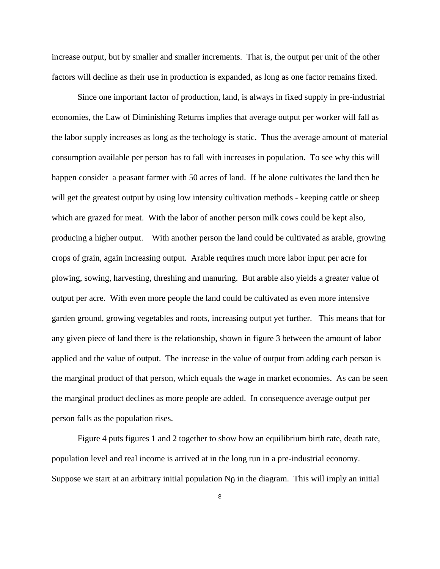increase output, but by smaller and smaller increments. That is, the output per unit of the other factors will decline as their use in production is expanded, as long as one factor remains fixed.

 Since one important factor of production, land, is always in fixed supply in pre-industrial economies, the Law of Diminishing Returns implies that average output per worker will fall as the labor supply increases as long as the techology is static. Thus the average amount of material consumption available per person has to fall with increases in population. To see why this will happen consider a peasant farmer with 50 acres of land. If he alone cultivates the land then he will get the greatest output by using low intensity cultivation methods - keeping cattle or sheep which are grazed for meat. With the labor of another person milk cows could be kept also, producing a higher output. With another person the land could be cultivated as arable, growing crops of grain, again increasing output. Arable requires much more labor input per acre for plowing, sowing, harvesting, threshing and manuring. But arable also yields a greater value of output per acre. With even more people the land could be cultivated as even more intensive garden ground, growing vegetables and roots, increasing output yet further. This means that for any given piece of land there is the relationship, shown in figure 3 between the amount of labor applied and the value of output. The increase in the value of output from adding each person is the marginal product of that person, which equals the wage in market economies. As can be seen the marginal product declines as more people are added. In consequence average output per person falls as the population rises.

 Figure 4 puts figures 1 and 2 together to show how an equilibrium birth rate, death rate, population level and real income is arrived at in the long run in a pre-industrial economy. Suppose we start at an arbitrary initial population  $N_0$  in the diagram. This will imply an initial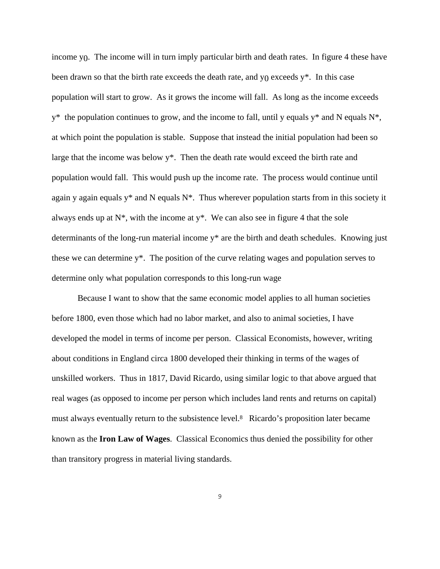income y<sub>0</sub>. The income will in turn imply particular birth and death rates. In figure 4 these have been drawn so that the birth rate exceeds the death rate, and  $y_0$  exceeds  $y^*$ . In this case population will start to grow. As it grows the income will fall. As long as the income exceeds  $y^*$  the population continues to grow, and the income to fall, until y equals  $y^*$  and N equals  $N^*$ , at which point the population is stable. Suppose that instead the initial population had been so large that the income was below y<sup>\*</sup>. Then the death rate would exceed the birth rate and population would fall. This would push up the income rate. The process would continue until again y again equals  $y^*$  and N equals  $N^*$ . Thus wherever population starts from in this society it always ends up at  $N^*$ , with the income at  $y^*$ . We can also see in figure 4 that the sole determinants of the long-run material income y\* are the birth and death schedules. Knowing just these we can determine y\*. The position of the curve relating wages and population serves to determine only what population corresponds to this long-run wage

 Because I want to show that the same economic model applies to all human societies before 1800, even those which had no labor market, and also to animal societies, I have developed the model in terms of income per person. Classical Economists, however, writing about conditions in England circa 1800 developed their thinking in terms of the wages of unskilled workers. Thus in 1817, David Ricardo, using similar logic to that above argued that real wages (as opposed to income per person which includes land rents and returns on capital) must always eventually return to the subsistence level.8 Ricardo's proposition later became known as the **Iron Law of Wages**. Classical Economics thus denied the possibility for other than transitory progress in material living standards.

9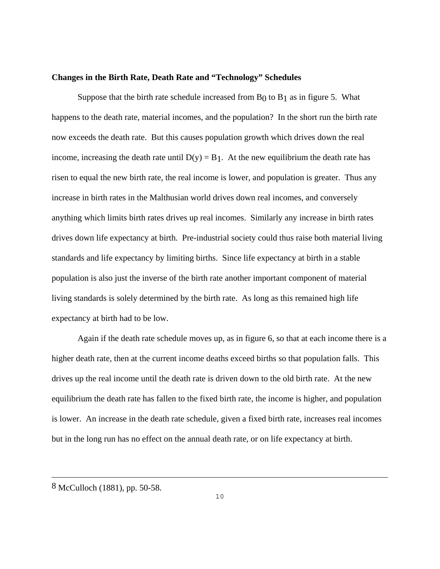#### **Changes in the Birth Rate, Death Rate and "Technology" Schedules**

Suppose that the birth rate schedule increased from  $B_0$  to  $B_1$  as in figure 5. What happens to the death rate, material incomes, and the population? In the short run the birth rate now exceeds the death rate. But this causes population growth which drives down the real income, increasing the death rate until  $D(y) = B_1$ . At the new equilibrium the death rate has risen to equal the new birth rate, the real income is lower, and population is greater. Thus any increase in birth rates in the Malthusian world drives down real incomes, and conversely anything which limits birth rates drives up real incomes. Similarly any increase in birth rates drives down life expectancy at birth. Pre-industrial society could thus raise both material living standards and life expectancy by limiting births. Since life expectancy at birth in a stable population is also just the inverse of the birth rate another important component of material living standards is solely determined by the birth rate. As long as this remained high life expectancy at birth had to be low.

 Again if the death rate schedule moves up, as in figure 6, so that at each income there is a higher death rate, then at the current income deaths exceed births so that population falls. This drives up the real income until the death rate is driven down to the old birth rate. At the new equilibrium the death rate has fallen to the fixed birth rate, the income is higher, and population is lower. An increase in the death rate schedule, given a fixed birth rate, increases real incomes but in the long run has no effect on the annual death rate, or on life expectancy at birth.

i<br>L

<sup>8</sup> McCulloch (1881), pp. 50-58.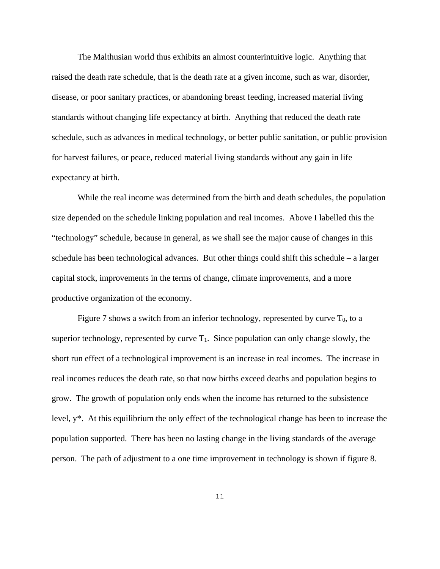The Malthusian world thus exhibits an almost counterintuitive logic. Anything that raised the death rate schedule, that is the death rate at a given income, such as war, disorder, disease, or poor sanitary practices, or abandoning breast feeding, increased material living standards without changing life expectancy at birth. Anything that reduced the death rate schedule, such as advances in medical technology, or better public sanitation, or public provision for harvest failures, or peace, reduced material living standards without any gain in life expectancy at birth.

 While the real income was determined from the birth and death schedules, the population size depended on the schedule linking population and real incomes. Above I labelled this the "technology" schedule, because in general, as we shall see the major cause of changes in this schedule has been technological advances. But other things could shift this schedule – a larger capital stock, improvements in the terms of change, climate improvements, and a more productive organization of the economy.

Figure 7 shows a switch from an inferior technology, represented by curve  $T_0$ , to a superior technology, represented by curve  $T_1$ . Since population can only change slowly, the short run effect of a technological improvement is an increase in real incomes. The increase in real incomes reduces the death rate, so that now births exceed deaths and population begins to grow. The growth of population only ends when the income has returned to the subsistence level, y\*. At this equilibrium the only effect of the technological change has been to increase the population supported. There has been no lasting change in the living standards of the average person. The path of adjustment to a one time improvement in technology is shown if figure 8.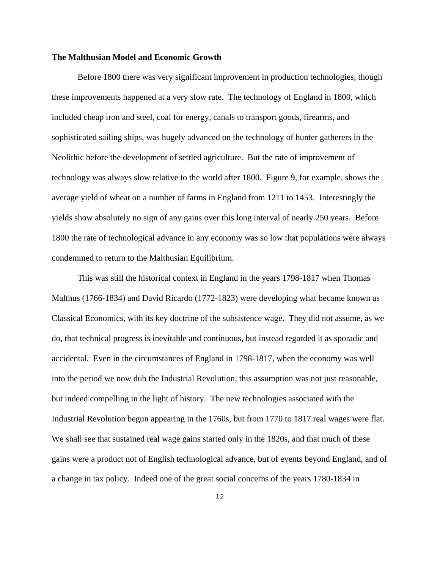#### **The Malthusian Model and Economic Growth**

 Before 1800 there was very significant improvement in production technologies, though these improvements happened at a very slow rate. The technology of England in 1800, which included cheap iron and steel, coal for energy, canals to transport goods, firearms, and sophisticated sailing ships, was hugely advanced on the technology of hunter gatherers in the Neolithic before the development of settled agriculture. But the rate of improvement of technology was always slow relative to the world after 1800. Figure 9, for example, shows the average yield of wheat on a number of farms in England from 1211 to 1453. Interestingly the yields show absolutely no sign of any gains over this long interval of nearly 250 years. Before 1800 the rate of technological advance in any economy was so low that populations were always condemmed to return to the Malthusian Equilibrium.

 This was still the historical context in England in the years 1798-1817 when Thomas Malthus (1766-1834) and David Ricardo (1772-1823) were developing what became known as Classical Economics, with its key doctrine of the subsistence wage. They did not assume, as we do, that technical progress is inevitable and continuous, but instead regarded it as sporadic and accidental. Even in the circumstances of England in 1798-1817, when the economy was well into the period we now dub the Industrial Revolution, this assumption was not just reasonable, but indeed compelling in the light of history. The new technologies associated with the Industrial Revolution begun appearing in the 1760s, but from 1770 to 1817 real wages were flat. We shall see that sustained real wage gains started only in the 1820s, and that much of these gains were a product not of English technological advance, but of events beyond England, and of a change in tax policy. Indeed one of the great social concerns of the years 1780-1834 in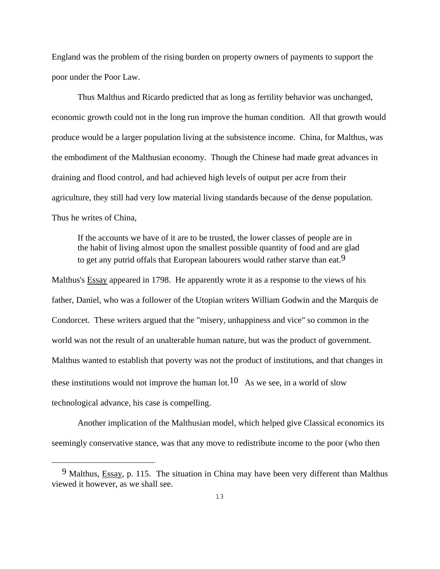England was the problem of the rising burden on property owners of payments to support the poor under the Poor Law.

 Thus Malthus and Ricardo predicted that as long as fertility behavior was unchanged, economic growth could not in the long run improve the human condition. All that growth would produce would be a larger population living at the subsistence income. China, for Malthus, was the embodiment of the Malthusian economy. Though the Chinese had made great advances in draining and flood control, and had achieved high levels of output per acre from their agriculture, they still had very low material living standards because of the dense population. Thus he writes of China,

If the accounts we have of it are to be trusted, the lower classes of people are in the habit of living almost upon the smallest possible quantity of food and are glad to get any putrid offals that European labourers would rather starve than eat.<sup>9</sup>

Malthus's Essay appeared in 1798. He apparently wrote it as a response to the views of his father, Daniel, who was a follower of the Utopian writers William Godwin and the Marquis de Condorcet. These writers argued that the "misery, unhappiness and vice" so common in the world was not the result of an unalterable human nature, but was the product of government. Malthus wanted to establish that poverty was not the product of institutions, and that changes in these institutions would not improve the human lot.<sup>10</sup> As we see, in a world of slow technological advance, his case is compelling.

Another implication of the Malthusian model, which helped give Classical economics its seemingly conservative stance, was that any move to redistribute income to the poor (who then

<sup>9</sup> Malthus, Essay, p. 115. The situation in China may have been very different than Malthus viewed it however, as we shall see.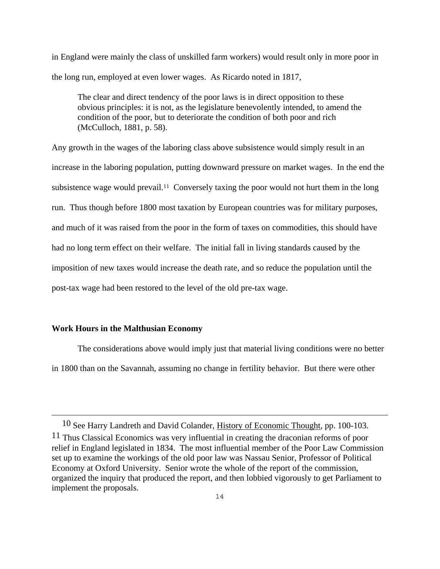in England were mainly the class of unskilled farm workers) would result only in more poor in the long run, employed at even lower wages. As Ricardo noted in 1817,

The clear and direct tendency of the poor laws is in direct opposition to these obvious principles: it is not, as the legislature benevolently intended, to amend the condition of the poor, but to deteriorate the condition of both poor and rich (McCulloch, 1881, p. 58).

Any growth in the wages of the laboring class above subsistence would simply result in an increase in the laboring population, putting downward pressure on market wages. In the end the subsistence wage would prevail.<sup>11</sup> Conversely taxing the poor would not hurt them in the long run. Thus though before 1800 most taxation by European countries was for military purposes, and much of it was raised from the poor in the form of taxes on commodities, this should have had no long term effect on their welfare. The initial fall in living standards caused by the imposition of new taxes would increase the death rate, and so reduce the population until the post-tax wage had been restored to the level of the old pre-tax wage.

#### **Work Hours in the Malthusian Economy**

÷,

 The considerations above would imply just that material living conditions were no better in 1800 than on the Savannah, assuming no change in fertility behavior. But there were other

<sup>10</sup> See Harry Landreth and David Colander, History of Economic Thought, pp. 100-103. 11 Thus Classical Economics was very influential in creating the draconian reforms of poor relief in England legislated in 1834. The most influential member of the Poor Law Commission set up to examine the workings of the old poor law was Nassau Senior, Professor of Political Economy at Oxford University. Senior wrote the whole of the report of the commission, organized the inquiry that produced the report, and then lobbied vigorously to get Parliament to implement the proposals.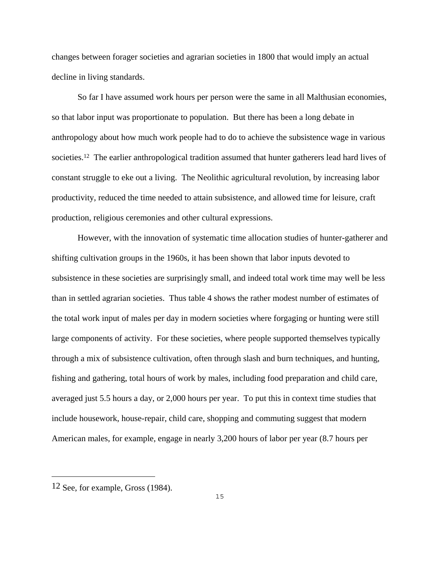changes between forager societies and agrarian societies in 1800 that would imply an actual decline in living standards.

 So far I have assumed work hours per person were the same in all Malthusian economies, so that labor input was proportionate to population. But there has been a long debate in anthropology about how much work people had to do to achieve the subsistence wage in various societies.<sup>12</sup> The earlier anthropological tradition assumed that hunter gatherers lead hard lives of constant struggle to eke out a living. The Neolithic agricultural revolution, by increasing labor productivity, reduced the time needed to attain subsistence, and allowed time for leisure, craft production, religious ceremonies and other cultural expressions.

 However, with the innovation of systematic time allocation studies of hunter-gatherer and shifting cultivation groups in the 1960s, it has been shown that labor inputs devoted to subsistence in these societies are surprisingly small, and indeed total work time may well be less than in settled agrarian societies. Thus table 4 shows the rather modest number of estimates of the total work input of males per day in modern societies where forgaging or hunting were still large components of activity. For these societies, where people supported themselves typically through a mix of subsistence cultivation, often through slash and burn techniques, and hunting, fishing and gathering, total hours of work by males, including food preparation and child care, averaged just 5.5 hours a day, or 2,000 hours per year. To put this in context time studies that include housework, house-repair, child care, shopping and commuting suggest that modern American males, for example, engage in nearly 3,200 hours of labor per year (8.7 hours per

a<br>B

<sup>12</sup> See, for example, Gross (1984).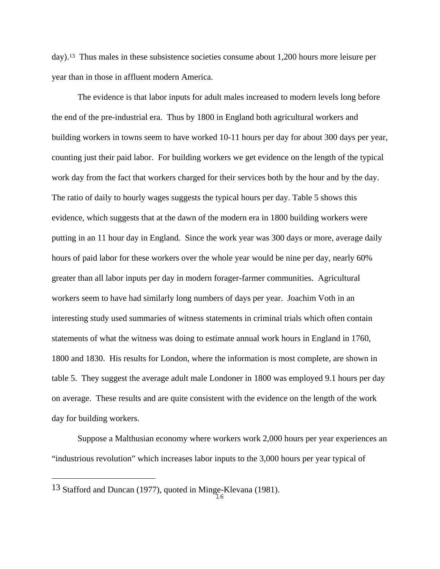day).13 Thus males in these subsistence societies consume about 1,200 hours more leisure per year than in those in affluent modern America.

 The evidence is that labor inputs for adult males increased to modern levels long before the end of the pre-industrial era. Thus by 1800 in England both agricultural workers and building workers in towns seem to have worked 10-11 hours per day for about 300 days per year, counting just their paid labor. For building workers we get evidence on the length of the typical work day from the fact that workers charged for their services both by the hour and by the day. The ratio of daily to hourly wages suggests the typical hours per day. Table 5 shows this evidence, which suggests that at the dawn of the modern era in 1800 building workers were putting in an 11 hour day in England. Since the work year was 300 days or more, average daily hours of paid labor for these workers over the whole year would be nine per day, nearly 60% greater than all labor inputs per day in modern forager-farmer communities. Agricultural workers seem to have had similarly long numbers of days per year. Joachim Voth in an interesting study used summaries of witness statements in criminal trials which often contain statements of what the witness was doing to estimate annual work hours in England in 1760, 1800 and 1830. His results for London, where the information is most complete, are shown in table 5. They suggest the average adult male Londoner in 1800 was employed 9.1 hours per day on average. These results and are quite consistent with the evidence on the length of the work day for building workers.

 Suppose a Malthusian economy where workers work 2,000 hours per year experiences an "industrious revolution" which increases labor inputs to the 3,000 hours per year typical of

a<br>B

<sup>13</sup> Stafford and Duncan (1977), quoted in Minge-Klevana (1981).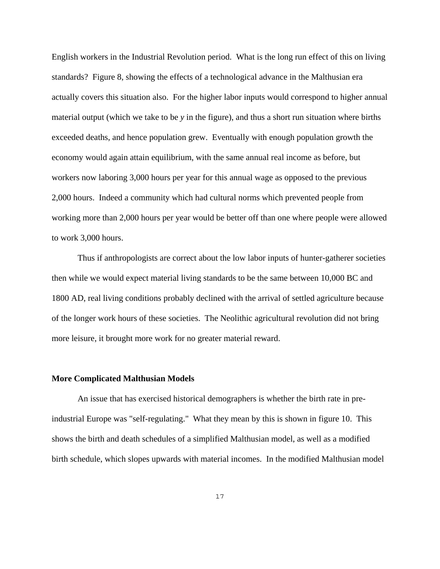English workers in the Industrial Revolution period. What is the long run effect of this on living standards? Figure 8, showing the effects of a technological advance in the Malthusian era actually covers this situation also. For the higher labor inputs would correspond to higher annual material output (which we take to be *y* in the figure), and thus a short run situation where births exceeded deaths, and hence population grew. Eventually with enough population growth the economy would again attain equilibrium, with the same annual real income as before, but workers now laboring 3,000 hours per year for this annual wage as opposed to the previous 2,000 hours. Indeed a community which had cultural norms which prevented people from working more than 2,000 hours per year would be better off than one where people were allowed to work 3,000 hours.

 Thus if anthropologists are correct about the low labor inputs of hunter-gatherer societies then while we would expect material living standards to be the same between 10,000 BC and 1800 AD, real living conditions probably declined with the arrival of settled agriculture because of the longer work hours of these societies. The Neolithic agricultural revolution did not bring more leisure, it brought more work for no greater material reward.

#### **More Complicated Malthusian Models**

 An issue that has exercised historical demographers is whether the birth rate in preindustrial Europe was "self-regulating." What they mean by this is shown in figure 10. This shows the birth and death schedules of a simplified Malthusian model, as well as a modified birth schedule, which slopes upwards with material incomes. In the modified Malthusian model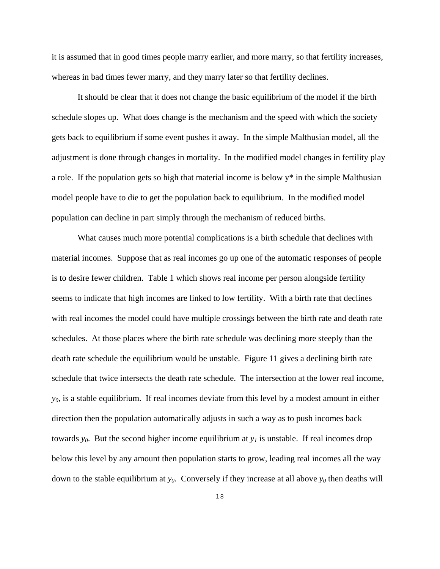it is assumed that in good times people marry earlier, and more marry, so that fertility increases, whereas in bad times fewer marry, and they marry later so that fertility declines.

 It should be clear that it does not change the basic equilibrium of the model if the birth schedule slopes up. What does change is the mechanism and the speed with which the society gets back to equilibrium if some event pushes it away. In the simple Malthusian model, all the adjustment is done through changes in mortality. In the modified model changes in fertility play a role. If the population gets so high that material income is below y\* in the simple Malthusian model people have to die to get the population back to equilibrium. In the modified model population can decline in part simply through the mechanism of reduced births.

 What causes much more potential complications is a birth schedule that declines with material incomes. Suppose that as real incomes go up one of the automatic responses of people is to desire fewer children. Table 1 which shows real income per person alongside fertility seems to indicate that high incomes are linked to low fertility. With a birth rate that declines with real incomes the model could have multiple crossings between the birth rate and death rate schedules. At those places where the birth rate schedule was declining more steeply than the death rate schedule the equilibrium would be unstable. Figure 11 gives a declining birth rate schedule that twice intersects the death rate schedule. The intersection at the lower real income, *y0*, is a stable equilibrium. If real incomes deviate from this level by a modest amount in either direction then the population automatically adjusts in such a way as to push incomes back towards  $y_0$ . But the second higher income equilibrium at  $y_l$  is unstable. If real incomes drop below this level by any amount then population starts to grow, leading real incomes all the way down to the stable equilibrium at  $y_0$ . Conversely if they increase at all above  $y_0$  then deaths will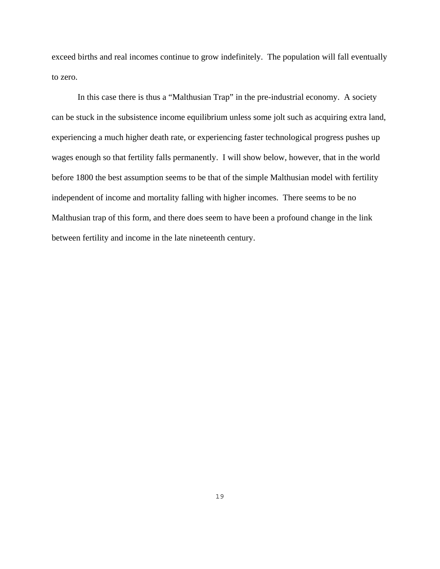exceed births and real incomes continue to grow indefinitely. The population will fall eventually to zero.

 In this case there is thus a "Malthusian Trap" in the pre-industrial economy. A society can be stuck in the subsistence income equilibrium unless some jolt such as acquiring extra land, experiencing a much higher death rate, or experiencing faster technological progress pushes up wages enough so that fertility falls permanently. I will show below, however, that in the world before 1800 the best assumption seems to be that of the simple Malthusian model with fertility independent of income and mortality falling with higher incomes. There seems to be no Malthusian trap of this form, and there does seem to have been a profound change in the link between fertility and income in the late nineteenth century.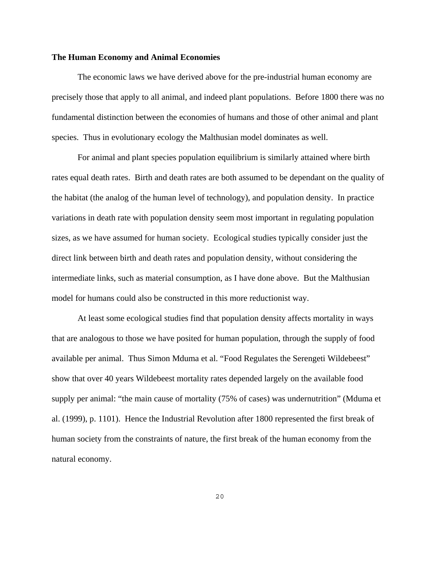#### **The Human Economy and Animal Economies**

 The economic laws we have derived above for the pre-industrial human economy are precisely those that apply to all animal, and indeed plant populations. Before 1800 there was no fundamental distinction between the economies of humans and those of other animal and plant species. Thus in evolutionary ecology the Malthusian model dominates as well.

 For animal and plant species population equilibrium is similarly attained where birth rates equal death rates. Birth and death rates are both assumed to be dependant on the quality of the habitat (the analog of the human level of technology), and population density. In practice variations in death rate with population density seem most important in regulating population sizes, as we have assumed for human society. Ecological studies typically consider just the direct link between birth and death rates and population density, without considering the intermediate links, such as material consumption, as I have done above. But the Malthusian model for humans could also be constructed in this more reductionist way.

 At least some ecological studies find that population density affects mortality in ways that are analogous to those we have posited for human population, through the supply of food available per animal. Thus Simon Mduma et al. "Food Regulates the Serengeti Wildebeest" show that over 40 years Wildebeest mortality rates depended largely on the available food supply per animal: "the main cause of mortality (75% of cases) was undernutrition" (Mduma et al. (1999), p. 1101). Hence the Industrial Revolution after 1800 represented the first break of human society from the constraints of nature, the first break of the human economy from the natural economy.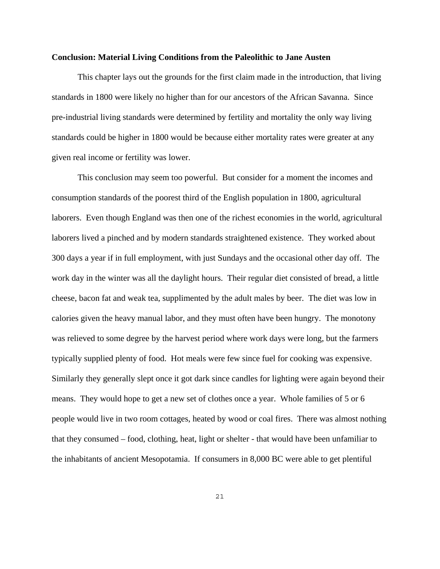#### **Conclusion: Material Living Conditions from the Paleolithic to Jane Austen**

 This chapter lays out the grounds for the first claim made in the introduction, that living standards in 1800 were likely no higher than for our ancestors of the African Savanna. Since pre-industrial living standards were determined by fertility and mortality the only way living standards could be higher in 1800 would be because either mortality rates were greater at any given real income or fertility was lower.

 This conclusion may seem too powerful. But consider for a moment the incomes and consumption standards of the poorest third of the English population in 1800, agricultural laborers. Even though England was then one of the richest economies in the world, agricultural laborers lived a pinched and by modern standards straightened existence. They worked about 300 days a year if in full employment, with just Sundays and the occasional other day off. The work day in the winter was all the daylight hours. Their regular diet consisted of bread, a little cheese, bacon fat and weak tea, supplimented by the adult males by beer. The diet was low in calories given the heavy manual labor, and they must often have been hungry. The monotony was relieved to some degree by the harvest period where work days were long, but the farmers typically supplied plenty of food. Hot meals were few since fuel for cooking was expensive. Similarly they generally slept once it got dark since candles for lighting were again beyond their means. They would hope to get a new set of clothes once a year. Whole families of 5 or 6 people would live in two room cottages, heated by wood or coal fires. There was almost nothing that they consumed – food, clothing, heat, light or shelter - that would have been unfamiliar to the inhabitants of ancient Mesopotamia. If consumers in 8,000 BC were able to get plentiful

21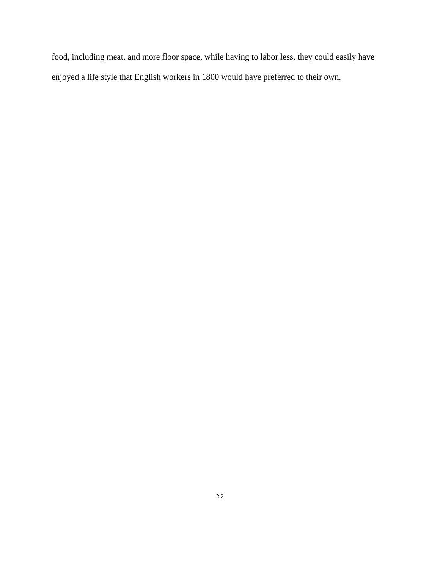food, including meat, and more floor space, while having to labor less, they could easily have enjoyed a life style that English workers in 1800 would have preferred to their own.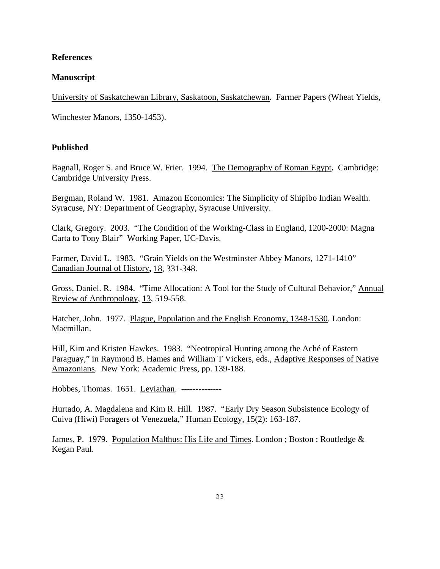### **References**

## **Manuscript**

University of Saskatchewan Library, Saskatoon, Saskatchewan. Farmer Papers (Wheat Yields,

Winchester Manors, 1350-1453).

## **Published**

Bagnall, Roger S. and Bruce W. Frier. 1994. The Demography of Roman Egypt**.** Cambridge: Cambridge University Press.

Bergman, Roland W. 1981. Amazon Economics: The Simplicity of Shipibo Indian Wealth. Syracuse, NY: Department of Geography, Syracuse University.

Clark, Gregory. 2003. "The Condition of the Working-Class in England, 1200-2000: Magna Carta to Tony Blair" Working Paper, UC-Davis.

Farmer, David L. 1983. "Grain Yields on the Westminster Abbey Manors, 1271-1410" Canadian Journal of History**,** 18, 331-348.

Gross, Daniel. R. 1984. "Time Allocation: A Tool for the Study of Cultural Behavior," Annual Review of Anthropology, 13, 519-558.

Hatcher, John. 1977. Plague, Population and the English Economy, 1348-1530. London: Macmillan.

Hill, Kim and Kristen Hawkes. 1983. "Neotropical Hunting among the Aché of Eastern Paraguay," in Raymond B. Hames and William T Vickers, eds., Adaptive Responses of Native Amazonians. New York: Academic Press, pp. 139-188.

Hobbes, Thomas. 1651. Leviathan. --------------

Hurtado, A. Magdalena and Kim R. Hill. 1987. "Early Dry Season Subsistence Ecology of Cuiva (Hiwi) Foragers of Venezuela," Human Ecology, 15(2): 163-187.

James, P. 1979. Population Malthus: His Life and Times. London ; Boston : Routledge & Kegan Paul.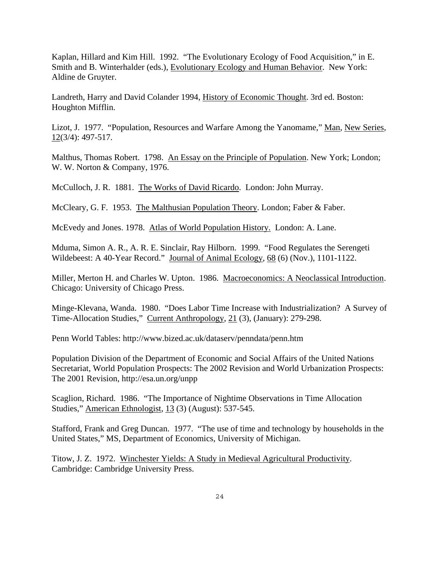Kaplan, Hillard and Kim Hill. 1992. "The Evolutionary Ecology of Food Acquisition," in E. Smith and B. Winterhalder (eds.), Evolutionary Ecology and Human Behavior. New York: Aldine de Gruyter.

Landreth, Harry and David Colander 1994, History of Economic Thought. 3rd ed. Boston: Houghton Mifflin.

Lizot, J. 1977. "Population, Resources and Warfare Among the Yanomame," Man, New Series, 12(3/4): 497-517.

Malthus, Thomas Robert. 1798. An Essay on the Principle of Population. New York; London; W. W. Norton & Company, 1976.

McCulloch, J. R. 1881. The Works of David Ricardo. London: John Murray.

McCleary, G. F. 1953. The Malthusian Population Theory. London; Faber & Faber.

McEvedy and Jones. 1978. Atlas of World Population History. London: A. Lane.

Mduma, Simon A. R., A. R. E. Sinclair, Ray Hilborn. 1999. "Food Regulates the Serengeti Wildebeest: A 40-Year Record." Journal of Animal Ecology, 68 (6) (Nov.), 1101-1122.

Miller, Merton H. and Charles W. Upton. 1986. Macroeconomics: A Neoclassical Introduction. Chicago: University of Chicago Press.

Minge-Klevana, Wanda. 1980. "Does Labor Time Increase with Industrialization? A Survey of Time-Allocation Studies," Current Anthropology, 21 (3), (January): 279-298.

Penn World Tables: http://www.bized.ac.uk/dataserv/penndata/penn.htm

Population Division of the Department of Economic and Social Affairs of the United Nations Secretariat, World Population Prospects: The 2002 Revision and World Urbanization Prospects: The 2001 Revision, http://esa.un.org/unpp

Scaglion, Richard. 1986. "The Importance of Nightime Observations in Time Allocation Studies," American Ethnologist, 13 (3) (August): 537-545.

Stafford, Frank and Greg Duncan. 1977. "The use of time and technology by households in the United States," MS, Department of Economics, University of Michigan.

Titow, J. Z. 1972. Winchester Yields: A Study in Medieval Agricultural Productivity. Cambridge: Cambridge University Press.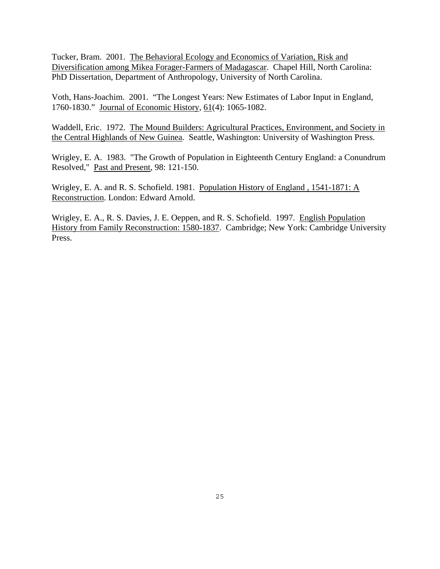Tucker, Bram. 2001. The Behavioral Ecology and Economics of Variation, Risk and Diversification among Mikea Forager-Farmers of Madagascar. Chapel Hill, North Carolina: PhD Dissertation, Department of Anthropology, University of North Carolina.

Voth, Hans-Joachim. 2001. "The Longest Years: New Estimates of Labor Input in England, 1760-1830." Journal of Economic History, 61(4): 1065-1082.

Waddell, Eric. 1972. The Mound Builders: Agricultural Practices, Environment, and Society in the Central Highlands of New Guinea. Seattle, Washington: University of Washington Press.

Wrigley, E. A. 1983. "The Growth of Population in Eighteenth Century England: a Conundrum Resolved," Past and Present, 98: 121-150.

Wrigley, E. A. and R. S. Schofield. 1981. Population History of England , 1541-1871: A Reconstruction. London: Edward Arnold.

Wrigley, E. A., R. S. Davies, J. E. Oeppen, and R. S. Schofield. 1997. English Population History from Family Reconstruction: 1580-1837. Cambridge; New York: Cambridge University Press.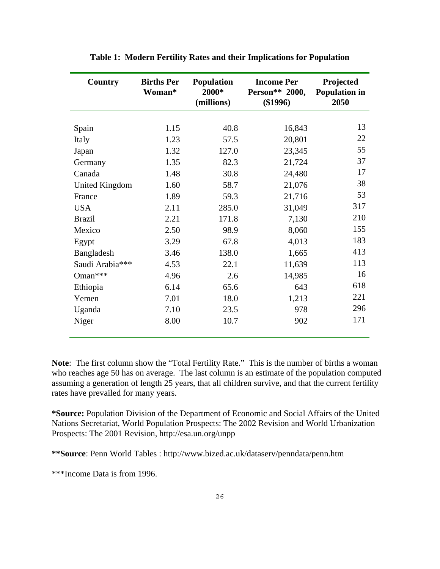| Country               | <b>Births Per</b><br>Woman* | <b>Population</b><br>2000*<br>(millions) | <b>Income Per</b><br>Person** 2000,<br>$(\$1996)$ | Projected<br><b>Population in</b><br>2050 |
|-----------------------|-----------------------------|------------------------------------------|---------------------------------------------------|-------------------------------------------|
|                       |                             |                                          |                                                   |                                           |
| Spain                 | 1.15                        | 40.8                                     | 16,843                                            | 13                                        |
| Italy                 | 1.23                        | 57.5                                     | 20,801                                            | 22                                        |
| Japan                 | 1.32                        | 127.0                                    | 23,345                                            | 55                                        |
| Germany               | 1.35                        | 82.3                                     | 21,724                                            | 37                                        |
| Canada                | 1.48                        | 30.8                                     | 24,480                                            | 17                                        |
| <b>United Kingdom</b> | 1.60                        | 58.7                                     | 21,076                                            | 38                                        |
| France                | 1.89                        | 59.3                                     | 21,716                                            | 53                                        |
| <b>USA</b>            | 2.11                        | 285.0                                    | 31,049                                            | 317                                       |
| <b>Brazil</b>         | 2.21                        | 171.8                                    | 7,130                                             | 210                                       |
| Mexico                | 2.50                        | 98.9                                     | 8,060                                             | 155                                       |
| Egypt                 | 3.29                        | 67.8                                     | 4,013                                             | 183                                       |
| Bangladesh            | 3.46                        | 138.0                                    | 1,665                                             | 413                                       |
| Saudi Arabia***       | 4.53                        | 22.1                                     | 11,639                                            | 113                                       |
| Oman***               | 4.96                        | 2.6                                      | 14,985                                            | 16                                        |
| Ethiopia              | 6.14                        | 65.6                                     | 643                                               | 618                                       |
| Yemen                 | 7.01                        | 18.0                                     | 1,213                                             | 221                                       |
| Uganda                | 7.10                        | 23.5                                     | 978                                               | 296                                       |
| Niger                 | 8.00                        | 10.7                                     | 902                                               | 171                                       |

**Table 1: Modern Fertility Rates and their Implications for Population** 

**Note**: The first column show the "Total Fertility Rate." This is the number of births a woman who reaches age 50 has on average. The last column is an estimate of the population computed assuming a generation of length 25 years, that all children survive, and that the current fertility rates have prevailed for many years.

**\*Source:** Population Division of the Department of Economic and Social Affairs of the United Nations Secretariat, World Population Prospects: The 2002 Revision and World Urbanization Prospects: The 2001 Revision, http://esa.un.org/unpp

**\*\*Source**: Penn World Tables : http://www.bized.ac.uk/dataserv/penndata/penn.htm

\*\*\*Income Data is from 1996.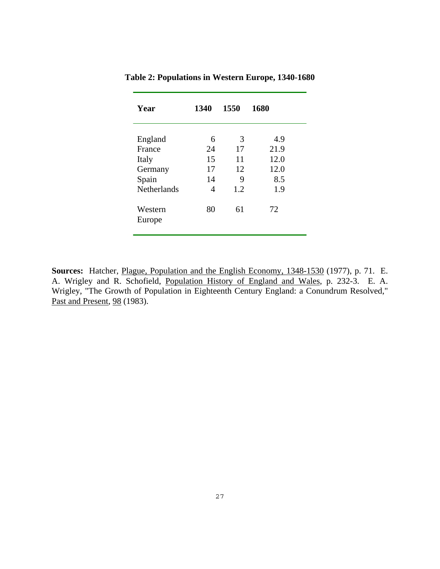| Year               | 1340    | 1550    | 1680 |
|--------------------|---------|---------|------|
|                    |         |         | 4.9  |
| England<br>France  | 6<br>24 | 3<br>17 | 21.9 |
| Italy              | 15      | 11      | 12.0 |
| Germany            | 17      | 12      | 12.0 |
| Spain              | 14      | 9       | 8.5  |
| <b>Netherlands</b> | 4       | 1.2     | 1.9  |
| Western            | 80      | 61      | 72   |
| Europe             |         |         |      |
|                    |         |         |      |

**Table 2: Populations in Western Europe, 1340-1680** 

**Sources:** Hatcher, Plague, Population and the English Economy, 1348-1530 (1977), p. 71. E. A. Wrigley and R. Schofield, Population History of England and Wales, p. 232-3. E. A. Wrigley, "The Growth of Population in Eighteenth Century England: a Conundrum Resolved," Past and Present, 98 (1983).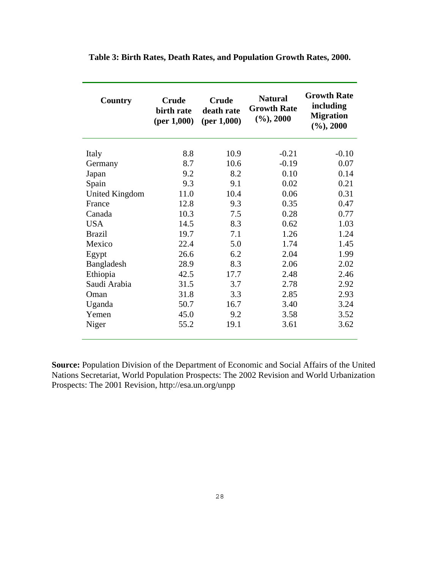| Country        | <b>Crude</b><br>birth rate<br>(per 1,000) | <b>Crude</b><br>death rate<br>(per 1,000) | <b>Natural</b><br><b>Growth Rate</b><br>$(\%), 2000$ | <b>Growth Rate</b><br>including<br><b>Migration</b><br>$(\%), 2000$ |
|----------------|-------------------------------------------|-------------------------------------------|------------------------------------------------------|---------------------------------------------------------------------|
| Italy          | 8.8                                       | 10.9                                      | $-0.21$                                              | $-0.10$                                                             |
| Germany        | 8.7                                       | 10.6                                      | $-0.19$                                              | 0.07                                                                |
| Japan          | 9.2                                       | 8.2                                       | 0.10                                                 | 0.14                                                                |
| Spain          | 9.3                                       | 9.1                                       | 0.02                                                 | 0.21                                                                |
| United Kingdom | 11.0                                      | 10.4                                      | 0.06                                                 | 0.31                                                                |
| France         | 12.8                                      | 9.3                                       | 0.35                                                 | 0.47                                                                |
| Canada         | 10.3                                      | 7.5                                       | 0.28                                                 | 0.77                                                                |
| <b>USA</b>     | 14.5                                      | 8.3                                       | 0.62                                                 | 1.03                                                                |
| <b>Brazil</b>  | 19.7                                      | 7.1                                       | 1.26                                                 | 1.24                                                                |
| Mexico         | 22.4                                      | 5.0                                       | 1.74                                                 | 1.45                                                                |
| Egypt          | 26.6                                      | 6.2                                       | 2.04                                                 | 1.99                                                                |
| Bangladesh     | 28.9                                      | 8.3                                       | 2.06                                                 | 2.02                                                                |
| Ethiopia       | 42.5                                      | 17.7                                      | 2.48                                                 | 2.46                                                                |
| Saudi Arabia   | 31.5                                      | 3.7                                       | 2.78                                                 | 2.92                                                                |
| Oman           | 31.8                                      | 3.3                                       | 2.85                                                 | 2.93                                                                |
| Uganda         | 50.7                                      | 16.7                                      | 3.40                                                 | 3.24                                                                |
| Yemen          | 45.0                                      | 9.2                                       | 3.58                                                 | 3.52                                                                |
| Niger          | 55.2                                      | 19.1                                      | 3.61                                                 | 3.62                                                                |

**Table 3: Birth Rates, Death Rates, and Population Growth Rates, 2000.** 

**Source:** Population Division of the Department of Economic and Social Affairs of the United Nations Secretariat, World Population Prospects: The 2002 Revision and World Urbanization Prospects: The 2001 Revision, http://esa.un.org/unpp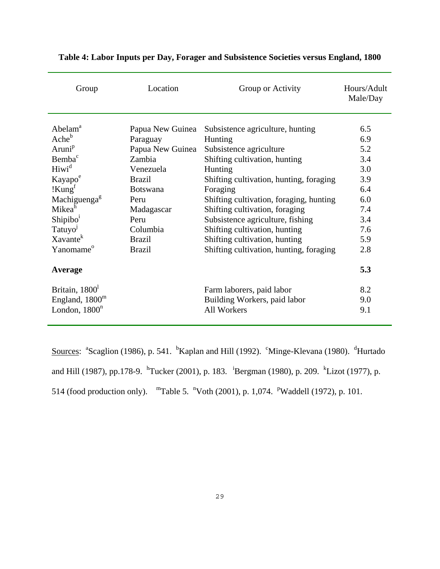| Group                      | Location         | Group or Activity                       | Hours/Adult<br>Male/Day |
|----------------------------|------------------|-----------------------------------------|-------------------------|
|                            |                  |                                         |                         |
| Abelam <sup>a</sup>        | Papua New Guinea | Subsistence agriculture, hunting        | 6.5                     |
| Ache <sup>b</sup>          | Paraguay         | Hunting                                 | 6.9                     |
| Aruni <sup>p</sup>         | Papua New Guinea | Subsistence agriculture                 | 5.2                     |
| Bemba <sup>c</sup>         | Zambia           | Shifting cultivation, hunting           | 3.4                     |
| Hiwi <sup>d</sup>          | Venezuela        | Hunting                                 | 3.0                     |
| Kayapo <sup>e</sup>        | <b>Brazil</b>    | Shifting cultivation, hunting, foraging | 3.9                     |
| !Kung <sup>f</sup>         | <b>Botswana</b>  | Foraging                                | 6.4                     |
| Machiguenga <sup>g</sup>   | Peru             | Shifting cultivation, foraging, hunting | 6.0                     |
| Mikea <sup>h</sup>         | Madagascar       | Shifting cultivation, foraging          | 7.4                     |
| Shipibo <sup>1</sup>       | Peru             | Subsistence agriculture, fishing        | 3.4                     |
| Tatuyo <sup>1</sup>        | Columbia         | Shifting cultivation, hunting           | 7.6                     |
| Xavante <sup>k</sup>       | <b>Brazil</b>    | Shifting cultivation, hunting           | 5.9                     |
| Yanomame <sup>o</sup>      | <b>Brazil</b>    | Shifting cultivation, hunting, foraging | 2.8                     |
| Average                    |                  |                                         | 5.3                     |
| Britain, 1800 <sup>1</sup> |                  | Farm laborers, paid labor               | 8.2                     |
| England, $1800m$           |                  | Building Workers, paid labor            | 9.0                     |
| London, $1800^n$           |                  | <b>All Workers</b>                      | 9.1                     |

## **Table 4: Labor Inputs per Day, Forager and Subsistence Societies versus England, 1800**

Sources: <sup>a</sup>Scaglion (1986), p. 541. <sup>b</sup>Kaplan and Hill (1992). <sup>c</sup>Minge-Klevana (1980). <sup>d</sup>Hurtado and Hill (1987), pp.178-9. <sup>h</sup>Tucker (2001), p. 183. <sup>i</sup>Bergman (1980), p. 209. <sup>k</sup>Lizot (1977), p. 514 (food production only). "Table 5. "Voth (2001), p. 1,074. "Waddell (1972), p. 101.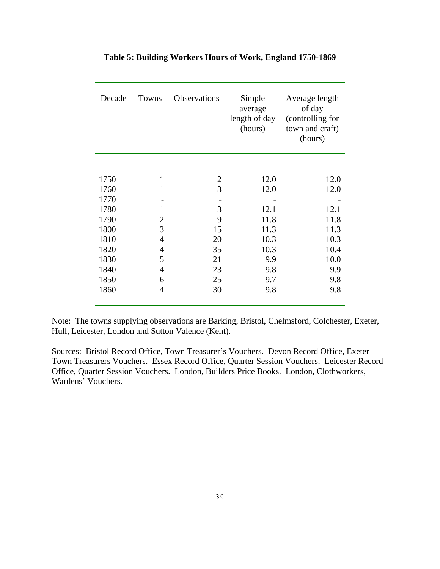| Decade | Towns          | Observations   | Simple<br>average<br>length of day<br>(hours) | Average length<br>of day<br>(controlling for<br>town and craft)<br>(hours) |
|--------|----------------|----------------|-----------------------------------------------|----------------------------------------------------------------------------|
|        |                |                |                                               |                                                                            |
| 1750   | $\mathbf{1}$   | $\overline{c}$ | 12.0                                          | 12.0                                                                       |
| 1760   | 1              | 3              | 12.0                                          | 12.0                                                                       |
| 1770   |                |                |                                               |                                                                            |
| 1780   | 1              | 3              | 12.1                                          | 12.1                                                                       |
| 1790   | $\overline{2}$ | 9              | 11.8                                          | 11.8                                                                       |
| 1800   | 3              | 15             | 11.3                                          | 11.3                                                                       |
| 1810   | $\overline{4}$ | 20             | 10.3                                          | 10.3                                                                       |
| 1820   | $\overline{4}$ | 35             | 10.3                                          | 10.4                                                                       |
| 1830   | 5              | 21             | 9.9                                           | 10.0                                                                       |
| 1840   | 4              | 23             | 9.8                                           | 9.9                                                                        |
| 1850   | 6              | 25             | 9.7                                           | 9.8                                                                        |
| 1860   | $\overline{4}$ | 30             | 9.8                                           | 9.8                                                                        |
|        |                |                |                                               |                                                                            |

## **Table 5: Building Workers Hours of Work, England 1750-1869**

Note: The towns supplying observations are Barking, Bristol, Chelmsford, Colchester, Exeter, Hull, Leicester, London and Sutton Valence (Kent).

Sources: Bristol Record Office, Town Treasurer's Vouchers. Devon Record Office, Exeter Town Treasurers Vouchers. Essex Record Office, Quarter Session Vouchers. Leicester Record Office, Quarter Session Vouchers. London, Builders Price Books. London, Clothworkers, Wardens' Vouchers.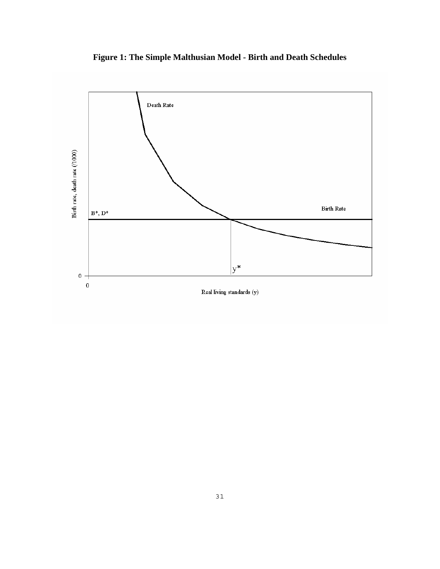

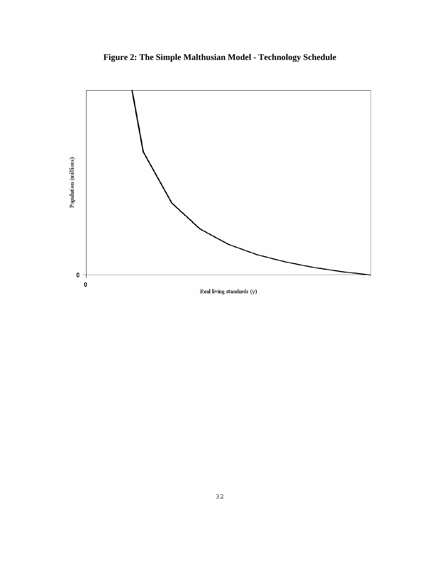

**Figure 2: The Simple Malthusian Model - Technology Schedule**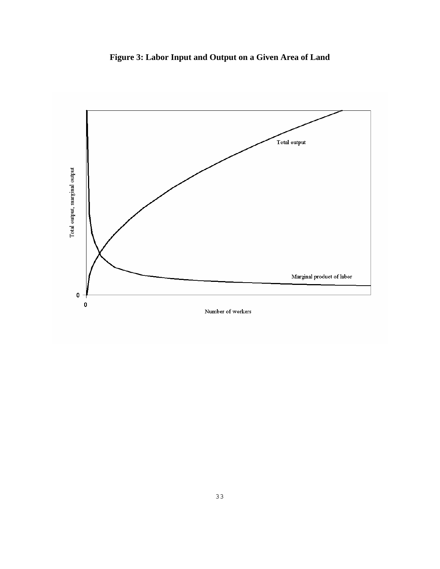**Figure 3: Labor Input and Output on a Given Area of Land** 

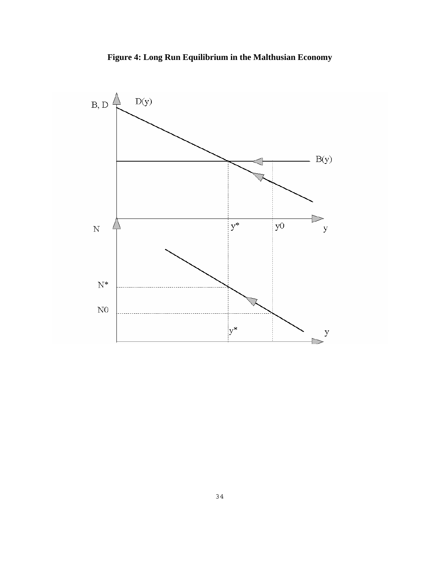

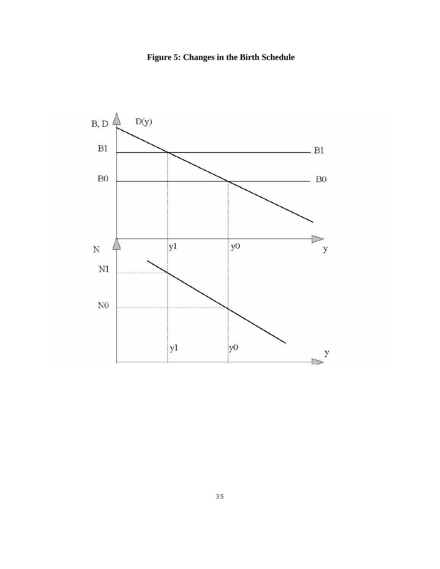

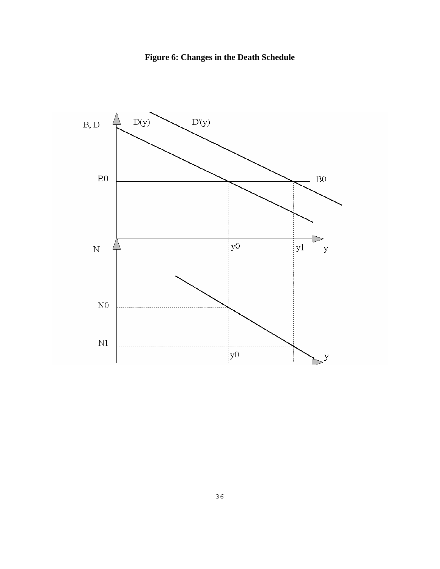**Figure 6: Changes in the Death Schedule** 

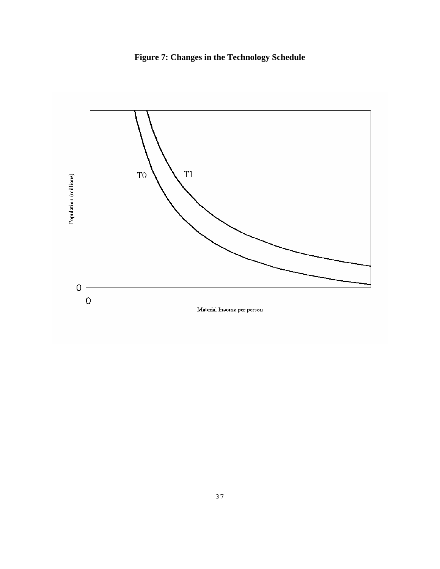**Figure 7: Changes in the Technology Schedule** 

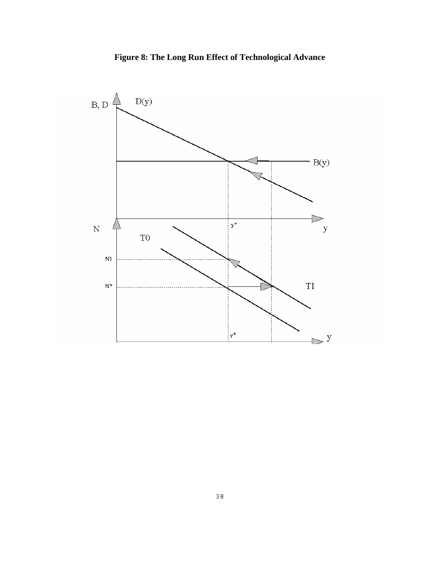

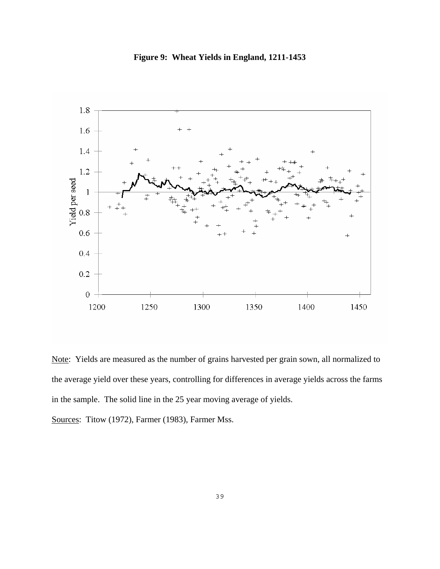**Figure 9: Wheat Yields in England, 1211-1453** 



Note: Yields are measured as the number of grains harvested per grain sown, all normalized to the average yield over these years, controlling for differences in average yields across the farms in the sample. The solid line in the 25 year moving average of yields.

Sources: Titow (1972), Farmer (1983), Farmer Mss.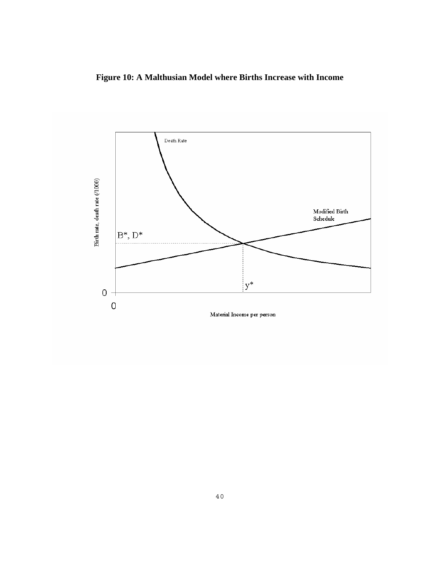**Figure 10: A Malthusian Model where Births Increase with Income**